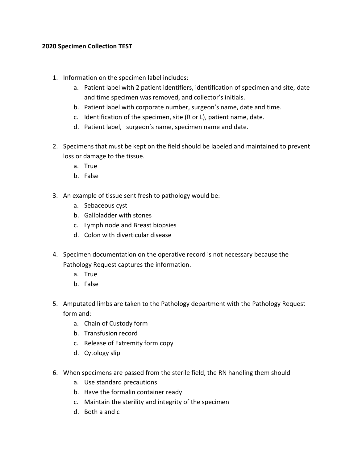## **2020 Specimen Collection TEST**

- 1. Information on the specimen label includes:
	- a. Patient label with 2 patient identifiers, identification of specimen and site, date and time specimen was removed, and collector's initials.
	- b. Patient label with corporate number, surgeon's name, date and time.
	- c. Identification of the specimen, site (R or L), patient name, date.
	- d. Patient label, surgeon's name, specimen name and date.
- 2. Specimens that must be kept on the field should be labeled and maintained to prevent loss or damage to the tissue.
	- a. True
	- b. False
- 3. An example of tissue sent fresh to pathology would be:
	- a. Sebaceous cyst
	- b. Gallbladder with stones
	- c. Lymph node and Breast biopsies
	- d. Colon with diverticular disease
- 4. Specimen documentation on the operative record is not necessary because the Pathology Request captures the information.
	- a. True
	- b. False
- 5. Amputated limbs are taken to the Pathology department with the Pathology Request form and:
	- a. Chain of Custody form
	- b. Transfusion record
	- c. Release of Extremity form copy
	- d. Cytology slip
- 6. When specimens are passed from the sterile field, the RN handling them should
	- a. Use standard precautions
	- b. Have the formalin container ready
	- c. Maintain the sterility and integrity of the specimen
	- d. Both a and c